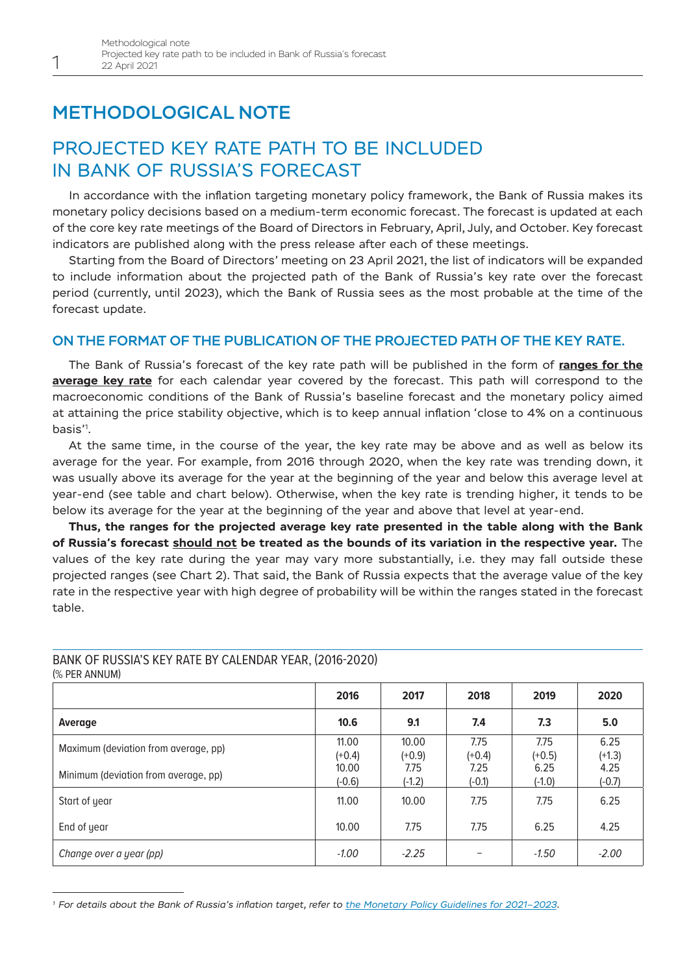# METHODOLOGICAL NOTE

# PROJECTED KEY RATE PATH TO BE INCLUDED IN BANK OF RUSSIA'S FORECAST

In accordance with the inflation targeting monetary policy framework, the Bank of Russia makes its monetary policy decisions based on a medium-term economic forecast. The forecast is updated at each of the core key rate meetings of the Board of Directors in February, April, July, and October. Key forecast indicators are published along with the press release after each of these meetings.

Starting from the Board of Directors' meeting on 23 April 2021, the list of indicators will be expanded to include information about the projected path of the Bank of Russia's key rate over the forecast period (currently, until 2023), which the Bank of Russia sees as the most probable at the time of the forecast update.

## ON THE FORMAT OF THE PUBLICATION OF THE PROJECTED PATH OF THE KEY RATE.

The Bank of Russia's forecast of the key rate path will be published in the form of **ranges for the average key rate** for each calendar year covered by the forecast. This path will correspond to the macroeconomic conditions of the Bank of Russia's baseline forecast and the monetary policy aimed at attaining the price stability objective, which is to keep annual inflation 'close to 4% on a continuous basis'<sup>1</sup> .

At the same time, in the course of the year, the key rate may be above and as well as below its average for the year. For example, from 2016 through 2020, when the key rate was trending down, it was usually above its average for the year at the beginning of the year and below this average level at year-end (see table and chart below). Otherwise, when the key rate is trending higher, it tends to be below its average for the year at the beginning of the year and above that level at year-end.

**Thus, the ranges for the projected average key rate presented in the table along with the Bank of Russia's forecast should not be treated as the bounds of its variation in the respective year.** The values of the key rate during the year may vary more substantially, i.e. they may fall outside these projected ranges (see Chart 2). That said, the Bank of Russia expects that the average value of the key rate in the respective year with high degree of probability will be within the ranges stated in the forecast table.

#### **2016 2017 2018 2019 2020 Average 10.6 9.1 7.4 7.3 5.0** Maximum (deviation from average, pp)  $11.00$  $(+0.4)$ 10.00 (+0.9) 7.75 (+0.4) 7.75  $(+0.5)$ 6.25  $(+1.3)$ Minimum (deviation from average, pp)  $\begin{bmatrix} 10.00 \\ 0.60 \end{bmatrix}$ (-0.6) 7.75 (-1.2) 7.25 (-0.1) 6.25 (-1.0) 4.25 (-0.7) Start of year 11.00  $\begin{array}{|c|c|c|c|c|c|} \hline \end{array}$  11.00  $\begin{array}{|c|c|c|c|c|} \hline \end{array}$  10.00  $\begin{array}{|c|c|c|c|c|} \hline \end{array}$  7.75  $\begin{array}{|c|c|c|c|c|} \hline \end{array}$  6.25 End of year 10.00  $\begin{array}{|c|c|c|c|c|c|} \hline \end{array}$  10.00  $\begin{array}{|c|c|c|c|c|c|} \hline \end{array}$  7.75  $\begin{array}{|c|c|c|c|c|} \hline \end{array}$  7.25  $\begin{array}{|c|c|c|c|c|} \hline \end{array}$  4.25 *Change over a year (pp) -1.00 -2.25 – -1.50 -2.00*

### BANK OF RUSSIA'S KEY RATE BY CALENDAR YEAR, (2016-2020) (% PER ANNUM)

1

*<sup>1</sup> For details about the Bank of Russia's inflation target, refer to [the Monetary Policy Guidelines for 2021–2023](http://www.cbr.ru/eng/about_br/publ/ondkp/on_2021_2023/#highlight=2021%7C2023%7Cmonetary%7Cpolicy%7Cguidelines).*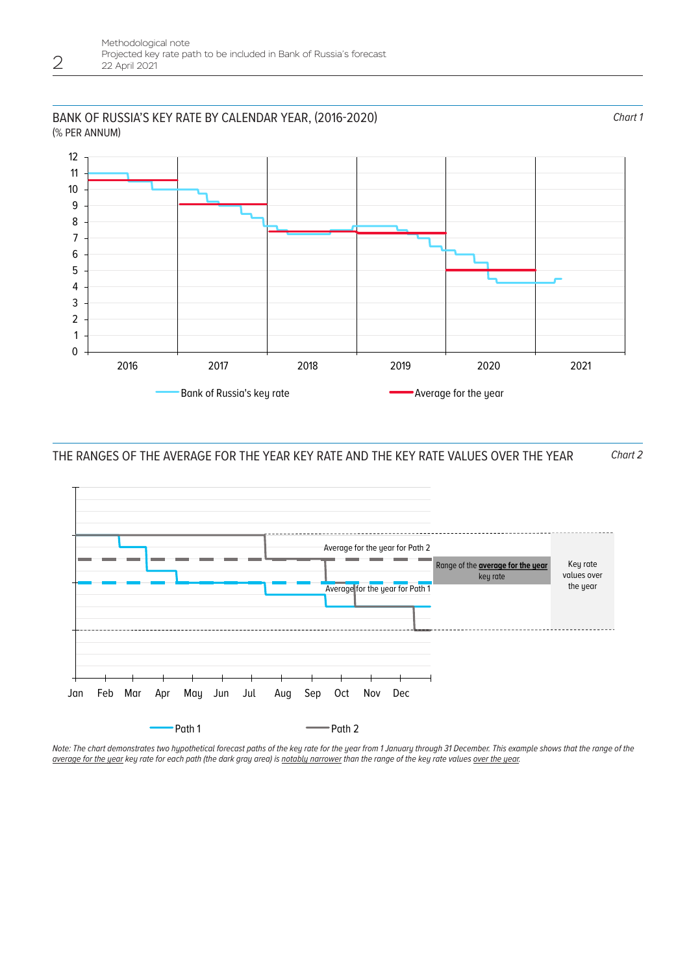### BANK OF RUSSIA'S KEY RATE BY CALENDAR YEAR, (2016-2020) (% PER ANNUM)

2



THE RANGES OF THE AVERAGE FOR THE YEAR KEY RATE AND THE KEY RATE VALUES OVER THE YEAR *Chart 2*



*Note: The chart demonstrates two hypothetical forecast paths of the key rate for the year from 1 January through 31 December. This example shows that the range of the average for the year key rate for each path (the dark gray area) is notably narrower than the range of the key rate values over the year.*

*Chart 1*